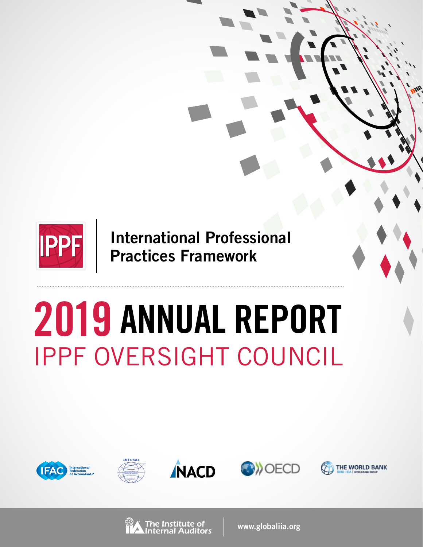

**International Professional Practices Framework**

# IPPF OVERSIGHT COUNCIL **2019 ANNUAL REPORT**











The Institute of

**www.globaliia.org**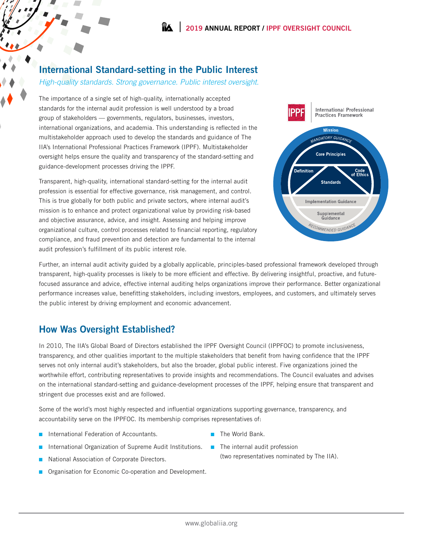## **International Standard-setting in the Public Interest**

#### *High-quality standards. Strong governance. Public interest oversight.*

The importance of a single set of high-quality, internationally accepted standards for the internal audit profession is well understood by a broad group of stakeholders — governments, regulators, businesses, investors, international organizations, and academia. This understanding is reflected in the multistakeholder approach used to develop the standards and guidance of The IIA's International Professional Practices Framework (IPPF). Multistakeholder oversight helps ensure the quality and transparency of the standard-setting and guidance-development processes driving the IPPF.

Transparent, high-quality, international standard-setting for the internal audit profession is essential for effective governance, risk management, and control. This is true globally for both public and private sectors, where internal audit's mission is to enhance and protect organizational value by providing risk-based and objective assurance, advice, and insight. Assessing and helping improve organizational culture, control processes related to financial reporting, regulatory compliance, and fraud prevention and detection are fundamental to the internal audit profession's fulfillment of its public interest role.



Further, an internal audit activity guided by a globally applicable, principles-based professional framework developed through transparent, high-quality processes is likely to be more efficient and effective. By delivering insightful, proactive, and futurefocused assurance and advice, effective internal auditing helps organizations improve their performance. Better organizational performance increases value, benefitting stakeholders, including investors, employees, and customers, and ultimately serves the public interest by driving employment and economic advancement.

# **How Was Oversight Established?**

In 2010, The IIA's Global Board of Directors established the IPPF Oversight Council (IPPFOC) to promote inclusiveness, transparency, and other qualities important to the multiple stakeholders that benefit from having confidence that the IPPF serves not only internal audit's stakeholders, but also the broader, global public interest. Five organizations joined the worthwhile effort, contributing representatives to provide insights and recommendations. The Council evaluates and advises on the international standard-setting and guidance-development processes of the IPPF, helping ensure that transparent and stringent due processes exist and are followed.

Some of the world's most highly respected and influential organizations supporting governance, transparency, and accountability serve on the IPPFOC. Its membership comprises representatives of:

- International Federation of Accountants.
- International Organization of Supreme Audit Institutions.
- National Association of Corporate Directors.
- Organisation for Economic Co-operation and Development.
- The World Bank.
- The internal audit profession (two representatives nominated by The IIA).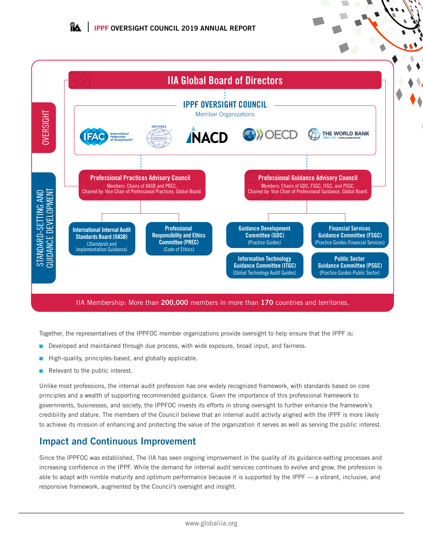

#### IIA Membership: More than **200,000** members in more than **170** countries and territories.

Together, the representatives of the IPPFOC member organizations provide oversight to help ensure that the IPPF is:

- Developed and maintained through due process, with wide exposure, broad input, and fairness.
- High-quality, principles-based, and globally applicable.
- Relevant to the public interest.

Unlike most professions, the internal audit profession has one widely recognized framework, with standards based on core principles and a wealth of supporting recommended guidance. Given the importance of this professional framework to governments, businesses, and society, the IPPFOC invests its efforts in strong oversight to further enhance the framework's credibility and stature. The members of the Council believe that an internal audit activity aligned with the IPPF is more likely to achieve its mission of enhancing and protecting the value of the organization it serves as well as serving the public interest.

## **Impact and Continuous Improvement**

Since the IPPFOC was established, The IIA has seen ongoing improvement in the quality of its guidance-setting processes and increasing confidence in the IPPF. While the demand for internal audit services continues to evolve and grow, the profession is able to adapt with nimble maturity and optimum performance because it is supported by the IPPF  $-$  a vibrant, inclusive, and responsive framework, augmented by the Council's oversight and insight.